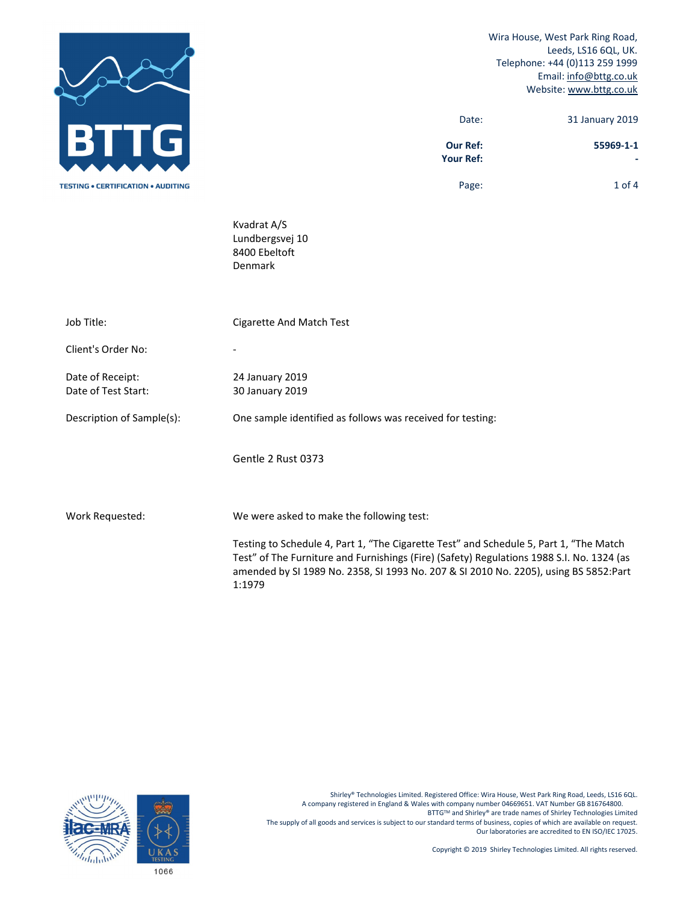|                                           |                                                                                                                                                                                                                                                                             | Wira House, West Park Ring Road,<br>Leeds, LS16 6QL, UK.<br>Telephone: +44 (0)113 259 1999<br>Email: info@bttg.co.uk<br>Website: www.bttg.co.uk |
|-------------------------------------------|-----------------------------------------------------------------------------------------------------------------------------------------------------------------------------------------------------------------------------------------------------------------------------|-------------------------------------------------------------------------------------------------------------------------------------------------|
|                                           | Date:                                                                                                                                                                                                                                                                       | 31 January 2019                                                                                                                                 |
|                                           | <b>Our Ref:</b><br><b>Your Ref:</b>                                                                                                                                                                                                                                         | 55969-1-1                                                                                                                                       |
| <b>TESTING • CERTIFICATION • AUDITING</b> | Page:                                                                                                                                                                                                                                                                       | $1$ of 4                                                                                                                                        |
|                                           | Kvadrat A/S<br>Lundbergsvej 10<br>8400 Ebeltoft<br>Denmark                                                                                                                                                                                                                  |                                                                                                                                                 |
| Job Title:                                | <b>Cigarette And Match Test</b>                                                                                                                                                                                                                                             |                                                                                                                                                 |
| Client's Order No:                        |                                                                                                                                                                                                                                                                             |                                                                                                                                                 |
| Date of Receipt:<br>Date of Test Start:   | 24 January 2019<br>30 January 2019                                                                                                                                                                                                                                          |                                                                                                                                                 |
| Description of Sample(s):                 | One sample identified as follows was received for testing:                                                                                                                                                                                                                  |                                                                                                                                                 |
|                                           | Gentle 2 Rust 0373                                                                                                                                                                                                                                                          |                                                                                                                                                 |
| Work Requested:                           | We were asked to make the following test:                                                                                                                                                                                                                                   |                                                                                                                                                 |
|                                           | Testing to Schedule 4, Part 1, "The Cigarette Test" and Schedule 5, Part 1, "The Match<br>Test" of The Furniture and Furnishings (Fire) (Safety) Regulations 1988 S.I. No. 1324 (as<br>amended by SI 1989 No. 2358, SI 1993 No. 207 & SI 2010 No. 2205), using BS 5852:Part |                                                                                                                                                 |



1:1979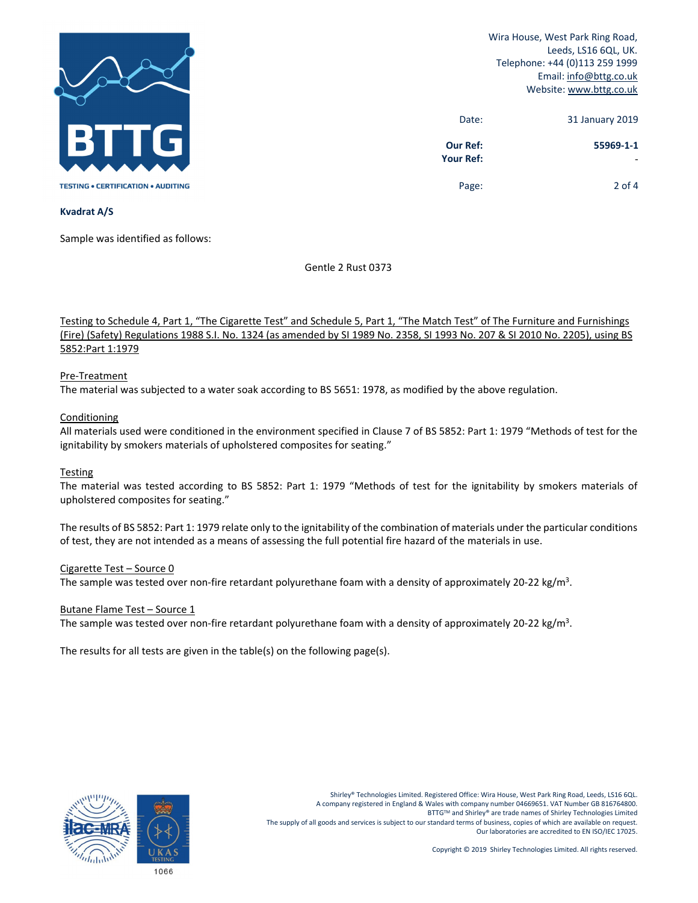

Wira House, West Park Ring Road, Leeds, LS16 6QL, UK. Telephone: +44 (0)113 259 1999 Email: info@bttg.co.uk Website: www.bttg.co.uk

| 31 January 2019 | Date:                        |
|-----------------|------------------------------|
| 55969-1-1       | <b>Our Ref:</b><br>Your Ref: |
| 2 of 4          | Page:                        |

## **Kvadrat A/S**

Sample was identified as follows:

Gentle 2 Rust 0373

Testing to Schedule 4, Part 1, "The Cigarette Test" and Schedule 5, Part 1, "The Match Test" of The Furniture and Furnishings (Fire) (Safety) Regulations 1988 S.I. No. 1324 (as amended by SI 1989 No. 2358, SI 1993 No. 207 & SI 2010 No. 2205), using BS 5852:Part 1:1979

# Pre‐Treatment

The material was subjected to a water soak according to BS 5651: 1978, as modified by the above regulation.

## **Conditioning**

All materials used were conditioned in the environment specified in Clause 7 of BS 5852: Part 1: 1979 "Methods of test for the ignitability by smokers materials of upholstered composites for seating."

## **Testing**

The material was tested according to BS 5852: Part 1: 1979 "Methods of test for the ignitability by smokers materials of upholstered composites for seating."

The results of BS 5852: Part 1: 1979 relate only to the ignitability of the combination of materials under the particular conditions of test, they are not intended as a means of assessing the full potential fire hazard of the materials in use.

## Cigarette Test – Source 0

The sample was tested over non-fire retardant polyurethane foam with a density of approximately 20-22 kg/m<sup>3</sup>.

## Butane Flame Test – Source 1

The sample was tested over non-fire retardant polyurethane foam with a density of approximately 20-22 kg/m<sup>3</sup>.

The results for all tests are given in the table(s) on the following page(s).

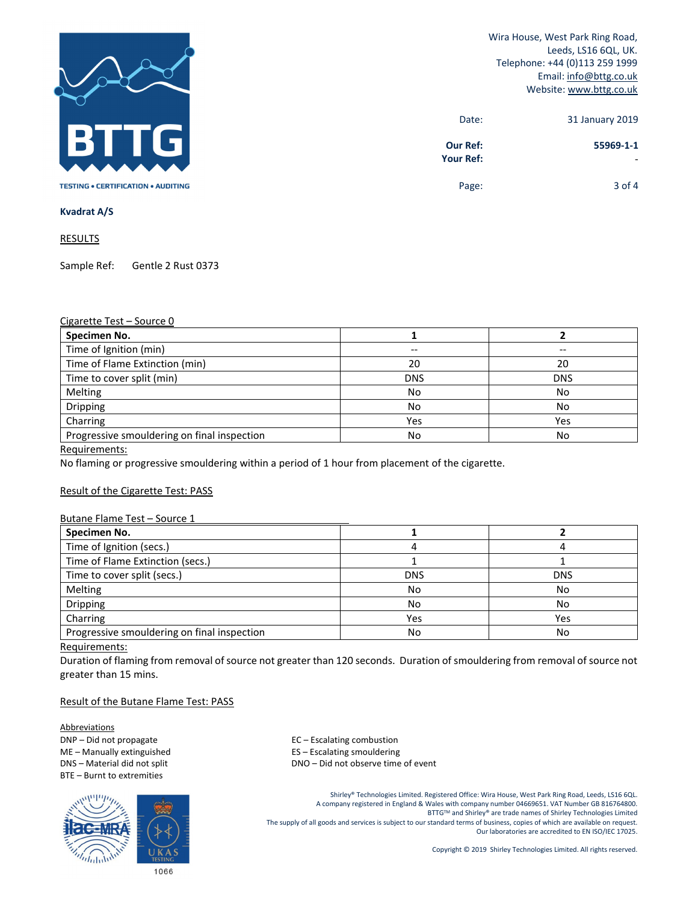

Wira House, West Park Ring Road, Leeds, LS16 6QL, UK. Telephone: +44 (0)113 259 1999 Email: info@bttg.co.uk Website: www.bttg.co.uk

| 31 January 2019 | Date:                 |
|-----------------|-----------------------|
| 55969-1-1       | Our Ref:<br>Your Ref: |
| $3$ of 4        | Page:                 |

**Kvadrat A/S** 

**RESULTS** 

Sample Ref: Gentle 2 Rust 0373

#### Cigarette Test – Source 0

| Specimen No.                                |            |            |
|---------------------------------------------|------------|------------|
| Time of Ignition (min)                      | --         |            |
| Time of Flame Extinction (min)              | 20         | 20         |
| Time to cover split (min)                   | <b>DNS</b> | <b>DNS</b> |
| Melting                                     | No         | No         |
| Dripping                                    | No         | No         |
| Charring                                    | Yes        | Yes        |
| Progressive smouldering on final inspection | No         | No         |

Requirements:

No flaming or progressive smouldering within a period of 1 hour from placement of the cigarette.

## Result of the Cigarette Test: PASS

#### Butane Flame Test – Source 1

| Specimen No.                                |            |            |
|---------------------------------------------|------------|------------|
| Time of Ignition (secs.)                    |            |            |
| Time of Flame Extinction (secs.)            |            |            |
| Time to cover split (secs.)                 | <b>DNS</b> | <b>DNS</b> |
| Melting                                     | No         | No         |
| Dripping                                    | No         | No         |
| Charring                                    | Yes        | Yes        |
| Progressive smouldering on final inspection | No         | No         |

#### Requirements:

Duration of flaming from removal of source not greater than 120 seconds. Duration of smouldering from removal of source not greater than 15 mins.

#### Result of the Butane Flame Test: PASS

Abbreviations DNP – Did not propagate and the set of the set of the EC – Escalating combustion BTE – Burnt to extremities



ME – Manually extinguished **Source 20 FLS** – Escalating smouldering DNS – Material did not split **DNS** – DNO – Did not observe time of event

> Shirley® Technologies Limited. Registered Office: Wira House, West Park Ring Road, Leeds, LS16 6QL. A company registered in England & Wales with company number 04669651. VAT Number GB 816764800. BTTGTM and Shirley® are trade names of Shirley Technologies Limited The supply of all goods and services is subject to our standard terms of business, copies of which are available on request. Our laboratories are accredited to EN ISO/IEC 17025.

> > Copyright © 2019 Shirley Technologies Limited. All rights reserved.